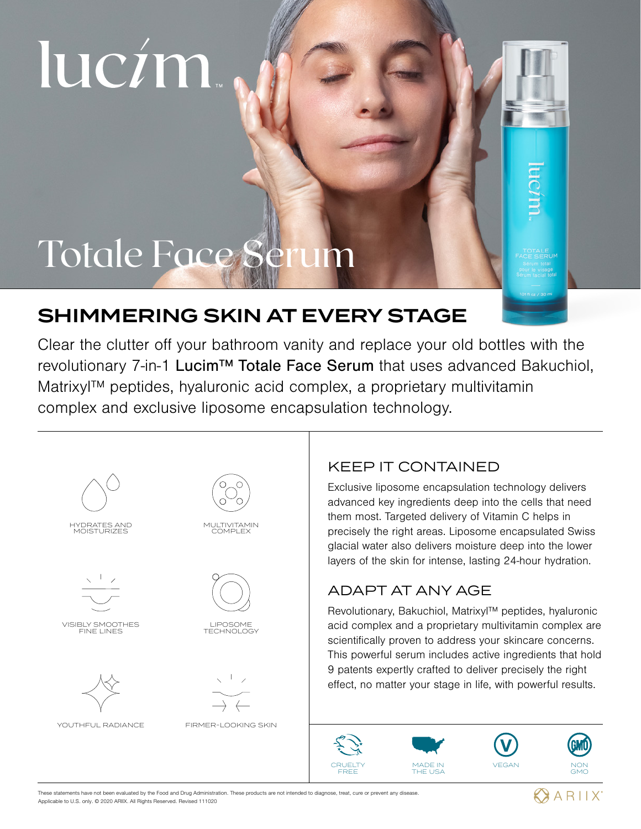# lucim.

# Totale Face Serum

# SHIMMERING SKIN AT EVERY STAGE

Clear the clutter off your bathroom vanity and replace your old bottles with the revolutionary 7-in-1 Lucim™ Totale Face Serum that uses advanced Bakuchiol, Matrixyl™ peptides, hyaluronic acid complex, a proprietary multivitamin complex and exclusive liposome encapsulation technology.



### KEEP IT CONTAINED

Exclusive liposome encapsulation technology delivers advanced key ingredients deep into the cells that need them most. Targeted delivery of Vitamin C helps in precisely the right areas. Liposome encapsulated Swiss glacial water also delivers moisture deep into the lower layers of the skin for intense, lasting 24-hour hydration.

# ADAPT AT ANY AGE

Revolutionary, Bakuchiol, Matrixyl™ peptides, hyaluronic acid complex and a proprietary multivitamin complex are scientifically proven to address your skincare concerns. This powerful serum includes active ingredients that hold 9 patents expertly crafted to deliver precisely the right effect, no matter your stage in life, with powerful results.



**CRUELTY** FREE





GMO

These statements have not been evaluated by the Food and Drug Administration. These products are not intended to diagnose, treat, cure or prevent any disease. Applicable to U.S. only. © 2020 ARIIX. All Rights Reserved. Revised 111020

**ARIIX**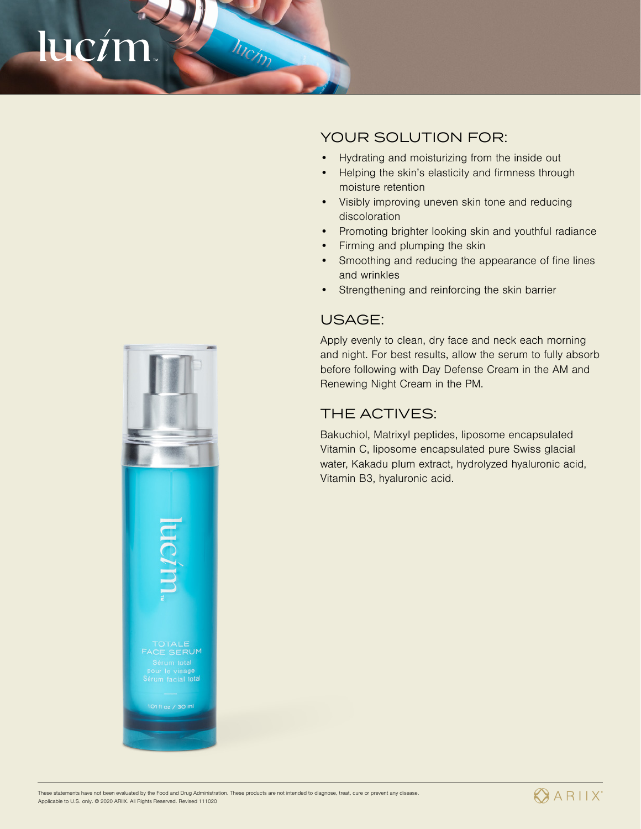# lucím



# YOUR SOLUTION FOR:

- Hydrating and moisturizing from the inside out
- Helping the skin's elasticity and firmness through moisture retention
- Visibly improving uneven skin tone and reducing discoloration
- Promoting brighter looking skin and youthful radiance
- Firming and plumping the skin
- Smoothing and reducing the appearance of fine lines and wrinkles
- Strengthening and reinforcing the skin barrier

### USAGE:

Apply evenly to clean, dry face and neck each morning and night. For best results, allow the serum to fully absorb before following with Day Defense Cream in the AM and Renewing Night Cream in the PM.

### THE ACTIVES:

Bakuchiol, Matrixyl peptides, liposome encapsulated Vitamin C, liposome encapsulated pure Swiss glacial water, Kakadu plum extract, hydrolyzed hyaluronic acid, Vitamin B3, hyaluronic acid.